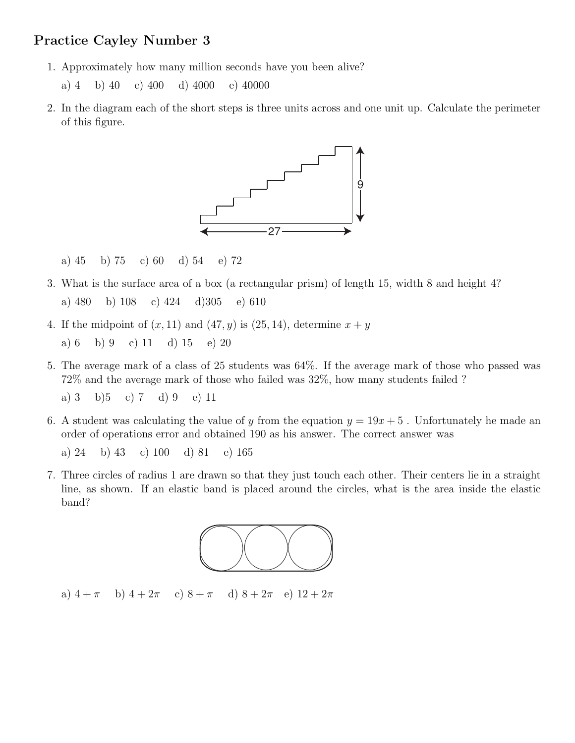## Practice Cayley Number 3

- 1. Approximately how many million seconds have you been alive?
	- a) 4 b) 40 c) 400 d) 4000 e) 40000
- 2. In the diagram each of the short steps is three units across and one unit up. Calculate the perimeter of this figure.



a) 45 b) 75 c) 60 d) 54 e) 72

- 3. What is the surface area of a box (a rectangular prism) of length 15, width 8 and height 4? a) 480 b) 108 c) 424 d)305 e) 610
- 4. If the midpoint of  $(x, 11)$  and  $(47, y)$  is  $(25, 14)$ , determine  $x + y$

a) 6 b) 9 c) 11 d) 15 e) 20

- 5. The average mark of a class of 25 students was 64%. If the average mark of those who passed was 72% and the average mark of those who failed was 32%, how many students failed ?
	- a) 3 b)5 c) 7 d) 9 e) 11
- 6. A student was calculating the value of y from the equation  $y = 19x + 5$ . Unfortunately he made an order of operations error and obtained 190 as his answer. The correct answer was

a) 24 b) 43 c) 100 d) 81 e) 165

7. Three circles of radius 1 are drawn so that they just touch each other. Their centers lie in a straight line, as shown. If an elastic band is placed around the circles, what is the area inside the elastic band?



a)  $4 + \pi$  b)  $4 + 2\pi$  c)  $8 + \pi$  d)  $8 + 2\pi$  e)  $12 + 2\pi$